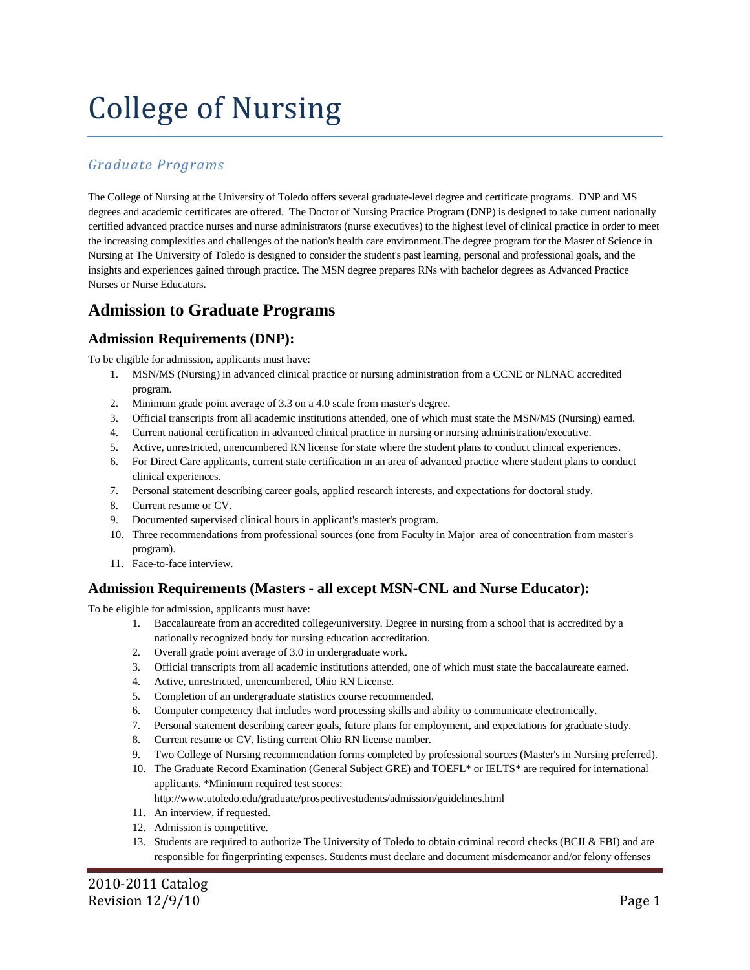# College of Nursing

## *Graduate Programs*

The College of Nursing at the University of Toledo offers several graduate-level degree and certificate programs. DNP and MS degrees and academic certificates are offered. The Doctor of Nursing Practice Program (DNP) is designed to take current nationally certified advanced practice nurses and nurse administrators (nurse executives) to the highest level of clinical practice in order to meet the increasing complexities and challenges of the nation's health care environment.The degree program for the Master of Science in Nursing at The University of Toledo is designed to consider the student's past learning, personal and professional goals, and the insights and experiences gained through practice. The MSN degree prepares RNs with bachelor degrees as Advanced Practice Nurses or Nurse Educators.

## **Admission to Graduate Programs**

#### **Admission Requirements (DNP):**

To be eligible for admission, applicants must have:

- 1. MSN/MS (Nursing) in advanced clinical practice or nursing administration from a CCNE or NLNAC accredited program.
- 2. Minimum grade point average of 3.3 on a 4.0 scale from master's degree.
- 3. Official transcripts from all academic institutions attended, one of which must state the MSN/MS (Nursing) earned.
- 4. Current national certification in advanced clinical practice in nursing or nursing administration/executive.
- 5. Active, unrestricted, unencumbered RN license for state where the student plans to conduct clinical experiences.
- 6. For Direct Care applicants, current state certification in an area of advanced practice where student plans to conduct clinical experiences.
- 7. Personal statement describing career goals, applied research interests, and expectations for doctoral study.
- 8. Current resume or CV.
- 9. Documented supervised clinical hours in applicant's master's program.
- 10. Three recommendations from professional sources (one from Faculty in Major area of concentration from master's program).
- 11. Face-to-face interview.

#### **Admission Requirements (Masters - all except MSN-CNL and Nurse Educator):**

To be eligible for admission, applicants must have:

- 1. Baccalaureate from an accredited college/university. Degree in nursing from a school that is accredited by a nationally recognized body for nursing education accreditation.
- 2. Overall grade point average of 3.0 in undergraduate work.
- 3. Official transcripts from all academic institutions attended, one of which must state the baccalaureate earned.
- 4. Active, unrestricted, unencumbered, Ohio RN License.
- 5. Completion of an undergraduate statistics course recommended.
- 6. Computer competency that includes word processing skills and ability to communicate electronically.
- 7. Personal statement describing career goals, future plans for employment, and expectations for graduate study.
- 8. Current resume or CV, listing current Ohio RN license number.
- 9. Two College of Nursing recommendation forms completed by professional sources (Master's in Nursing preferred).
- 10. The Graduate Record Examination (General Subject GRE) and TOEFL\* or IELTS\* are required for international applicants. \*Minimum required test scores:

<http://www.utoledo.edu/graduate/prospectivestudents/admission/guidelines.html>

- 11. An interview, if requested.
- 12. Admission is competitive.
- 13. Students are required to authorize The University of Toledo to obtain criminal record checks (BCII & FBI) and are responsible for fingerprinting expenses. Students must declare and document misdemeanor and/or felony offenses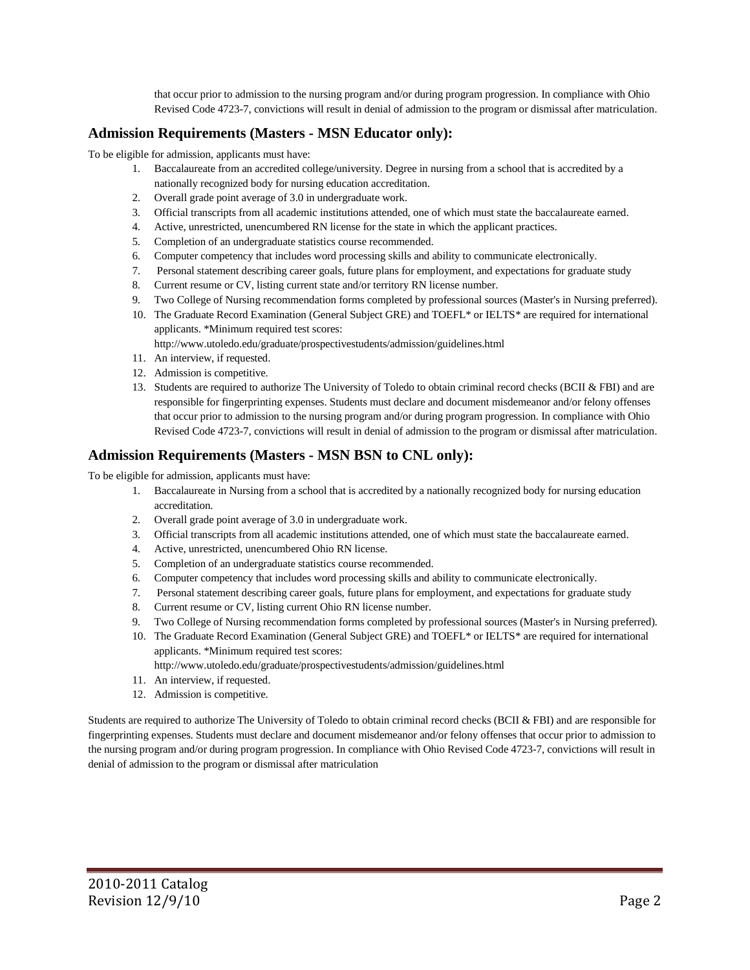that occur prior to admission to the nursing program and/or during program progression. In compliance with Ohio Revised Code 4723-7, convictions will result in denial of admission to the program or dismissal after matriculation.

#### **Admission Requirements (Masters - MSN Educator only):**

To be eligible for admission, applicants must have:

- 1. Baccalaureate from an accredited college/university. Degree in nursing from a school that is accredited by a nationally recognized body for nursing education accreditation.
- 2. Overall grade point average of 3.0 in undergraduate work.
- 3. Official transcripts from all academic institutions attended, one of which must state the baccalaureate earned.
- 4. Active, unrestricted, unencumbered RN license for the state in which the applicant practices.
- 5. Completion of an undergraduate statistics course recommended.
- 6. Computer competency that includes word processing skills and ability to communicate electronically.
- 7. Personal statement describing career goals, future plans for employment, and expectations for graduate study
- 8. Current resume or CV, listing current state and/or territory RN license number.
- 9. Two College of Nursing recommendation forms completed by professional sources (Master's in Nursing preferred).
- 10. The Graduate Record Examination (General Subject GRE) and TOEFL\* or IELTS\* are required for international applicants. \*Minimum required test scores:
	- <http://www.utoledo.edu/graduate/prospectivestudents/admission/guidelines.html>
- 11. An interview, if requested.
- 12. Admission is competitive.
- 13. Students are required to authorize The University of Toledo to obtain criminal record checks (BCII & FBI) and are responsible for fingerprinting expenses. Students must declare and document misdemeanor and/or felony offenses that occur prior to admission to the nursing program and/or during program progression. In compliance with Ohio Revised Code 4723-7, convictions will result in denial of admission to the program or dismissal after matriculation.

#### **Admission Requirements (Masters - MSN BSN to CNL only):**

To be eligible for admission, applicants must have:

- 1. Baccalaureate in Nursing from a school that is accredited by a nationally recognized body for nursing education accreditation.
- 2. Overall grade point average of 3.0 in undergraduate work.
- 3. Official transcripts from all academic institutions attended, one of which must state the baccalaureate earned.
- 4. Active, unrestricted, unencumbered Ohio RN license.
- 5. Completion of an undergraduate statistics course recommended.
- 6. Computer competency that includes word processing skills and ability to communicate electronically.
- 7. Personal statement describing career goals, future plans for employment, and expectations for graduate study
- 8. Current resume or CV, listing current Ohio RN license number.
- 9. Two College of Nursing recommendation forms completed by professional sources (Master's in Nursing preferred).
- 10. The Graduate Record Examination (General Subject GRE) and TOEFL\* or IELTS\* are required for international applicants. \*Minimum required test scores:
	- <http://www.utoledo.edu/graduate/prospectivestudents/admission/guidelines.html>
- 11. An interview, if requested.
- 12. Admission is competitive.

Students are required to authorize The University of Toledo to obtain criminal record checks (BCII & FBI) and are responsible for fingerprinting expenses. Students must declare and document misdemeanor and/or felony offenses that occur prior to admission to the nursing program and/or during program progression. In compliance with Ohio Revised Code 4723-7, convictions will result in denial of admission to the program or dismissal after matriculation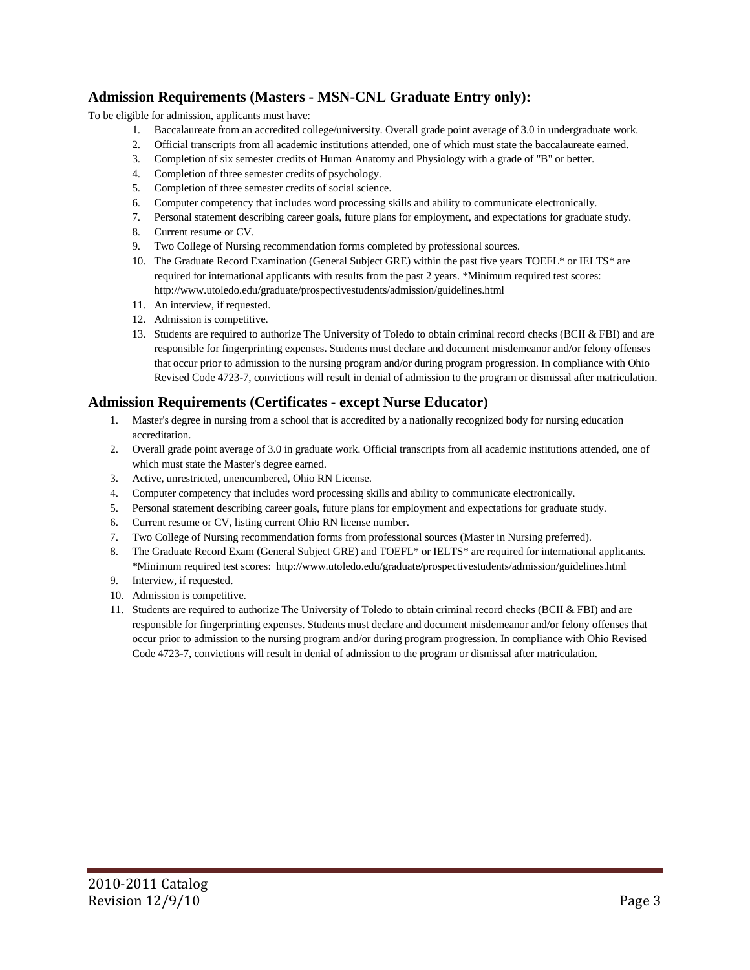## **Admission Requirements (Masters - MSN-CNL Graduate Entry only):**

To be eligible for admission, applicants must have:

- 1. Baccalaureate from an accredited college/university. Overall grade point average of 3.0 in undergraduate work.
- 2. Official transcripts from all academic institutions attended, one of which must state the baccalaureate earned.
- 3. Completion of six semester credits of Human Anatomy and Physiology with a grade of "B" or better.
- 4. Completion of three semester credits of psychology.
- 5. Completion of three semester credits of social science.
- 6. Computer competency that includes word processing skills and ability to communicate electronically.
- 7. Personal statement describing career goals, future plans for employment, and expectations for graduate study.
- 8. Current resume or CV.
- 9. Two College of Nursing recommendation forms completed by professional sources.
- 10. The Graduate Record Examination (General Subject GRE) within the past five years TOEFL\* or IELTS\* are required for international applicants with results from the past 2 years. \*Minimum required test scores: <http://www.utoledo.edu/graduate/prospectivestudents/admission/guidelines.html>
- 11. An interview, if requested.
- 12. Admission is competitive.
- 13. Students are required to authorize The University of Toledo to obtain criminal record checks (BCII & FBI) and are responsible for fingerprinting expenses. Students must declare and document misdemeanor and/or felony offenses that occur prior to admission to the nursing program and/or during program progression. In compliance with Ohio Revised Code 4723-7, convictions will result in denial of admission to the program or dismissal after matriculation.

#### **Admission Requirements (Certificates - except Nurse Educator)**

- 1. Master's degree in nursing from a school that is accredited by a nationally recognized body for nursing education accreditation.
- 2. Overall grade point average of 3.0 in graduate work. Official transcripts from all academic institutions attended, one of which must state the Master's degree earned.
- 3. Active, unrestricted, unencumbered, Ohio RN License.
- 4. Computer competency that includes word processing skills and ability to communicate electronically.
- 5. Personal statement describing career goals, future plans for employment and expectations for graduate study.
- 6. Current resume or CV, listing current Ohio RN license number.
- 7. Two College of Nursing recommendation forms from professional sources (Master in Nursing preferred).
- 8. The Graduate Record Exam (General Subject GRE) and TOEFL\* or IELTS\* are required for international applicants. \*Minimum required test scores:<http://www.utoledo.edu/graduate/prospectivestudents/admission/guidelines.html>
- 9. Interview, if requested.
- 10. Admission is competitive.
- 11. Students are required to authorize The University of Toledo to obtain criminal record checks (BCII & FBI) and are responsible for fingerprinting expenses. Students must declare and document misdemeanor and/or felony offenses that occur prior to admission to the nursing program and/or during program progression. In compliance with Ohio Revised Code 4723-7, convictions will result in denial of admission to the program or dismissal after matriculation.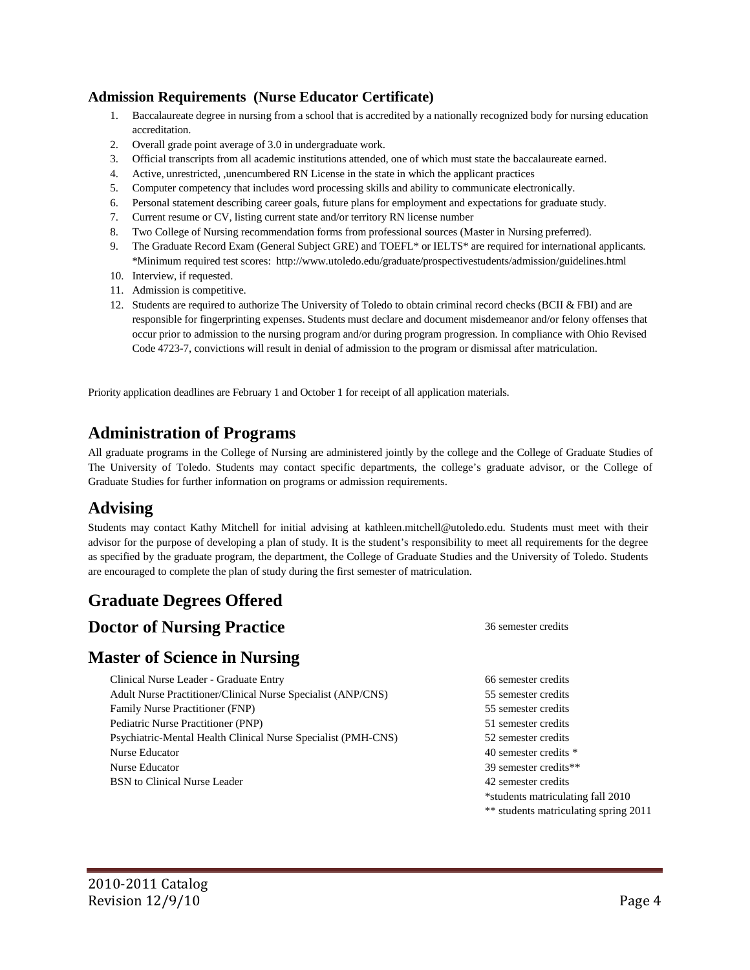#### **Admission Requirements (Nurse Educator Certificate)**

- 1. Baccalaureate degree in nursing from a school that is accredited by a nationally recognized body for nursing education accreditation.
- 2. Overall grade point average of 3.0 in undergraduate work.
- 3. Official transcripts from all academic institutions attended, one of which must state the baccalaureate earned.
- 4. Active, unrestricted, ,unencumbered RN License in the state in which the applicant practices
- 5. Computer competency that includes word processing skills and ability to communicate electronically.
- 6. Personal statement describing career goals, future plans for employment and expectations for graduate study.
- 7. Current resume or CV, listing current state and/or territory RN license number
- 8. Two College of Nursing recommendation forms from professional sources (Master in Nursing preferred).
- 9. The Graduate Record Exam (General Subject GRE) and TOEFL<sup>\*</sup> or IELTS<sup>\*</sup> are required for international applicants. \*Minimum required test scores:<http://www.utoledo.edu/graduate/prospectivestudents/admission/guidelines.html>
- 10. Interview, if requested.
- 11. Admission is competitive.
- 12. Students are required to authorize The University of Toledo to obtain criminal record checks (BCII & FBI) and are responsible for fingerprinting expenses. Students must declare and document misdemeanor and/or felony offenses that occur prior to admission to the nursing program and/or during program progression. In compliance with Ohio Revised Code 4723-7, convictions will result in denial of admission to the program or dismissal after matriculation.

Priority application deadlines are February 1 and October 1 for receipt of all application materials.

## **Administration of Programs**

All graduate programs in the College of Nursing are administered jointly by the college and the College of Graduate Studies of The University of Toledo. Students may contact specific departments, the college's graduate advisor, or the College of Graduate Studies for further information on programs or admission requirements.

## **Advising**

Students may contact Kathy Mitchell for initial advising at [kathleen.mitchell@utoledo.edu.](mailto:kathleen.mitchell@utoledo.edu) Students must meet with their advisor for the purpose of developing a plan of study. It is the student's responsibility to meet all requirements for the degree as specified by the graduate program, the department, the College of Graduate Studies and the University of Toledo. Students are encouraged to complete the plan of study during the first semester of matriculation.

# **Graduate Degrees Offered**

### **Doctor of Nursing Practice** 36 semester credits

### **Master of Science in Nursing**

Clinical Nurse Leader - Graduate Entry 66 semester credits Adult Nurse Practitioner/Clinical Nurse Specialist (ANP/CNS) 55 semester credits Family Nurse Practitioner (FNP) 55 semester credits Pediatric Nurse Practitioner (PNP) 51 semester credits Psychiatric-Mental Health Clinical Nurse Specialist (PMH-CNS) 52 semester credits Nurse Educator 40 semester credits  $\ast$ Nurse Educator 39 semester credits\*\* BSN to Clinical Nurse Leader 20 and 2 semester credits 42 semester credits

\*students matriculating fall 2010 \*\* students matriculating spring 2011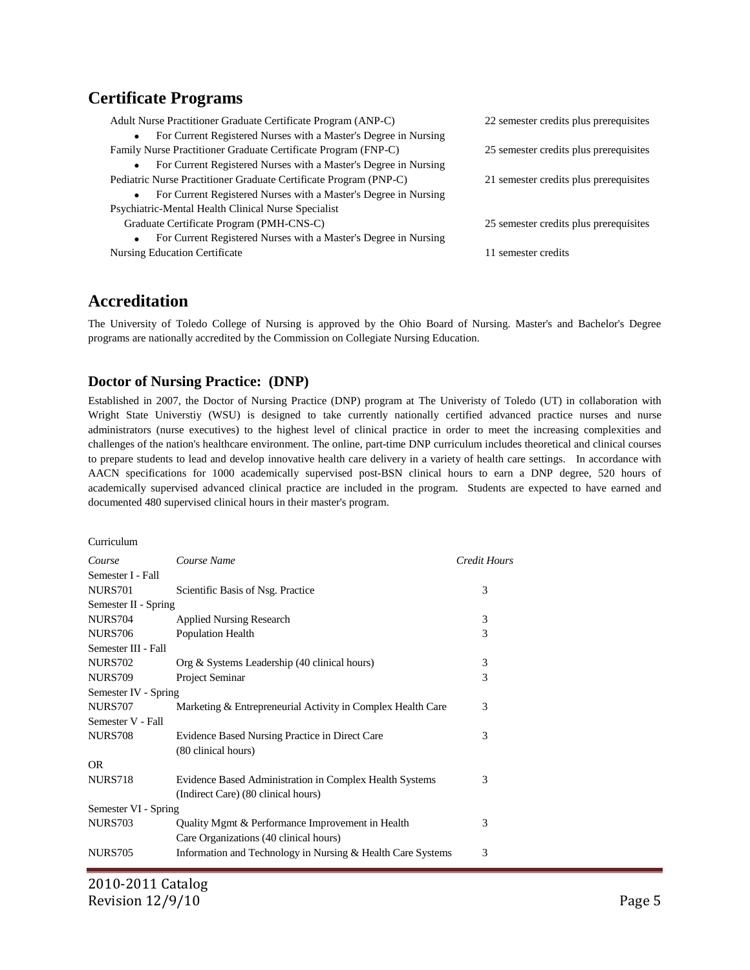## **Certificate Programs**

| Adult Nurse Practitioner Graduate Certificate Program (ANP-C)                | 22 semester credits plus prerequisites |
|------------------------------------------------------------------------------|----------------------------------------|
| For Current Registered Nurses with a Master's Degree in Nursing              |                                        |
| Family Nurse Practitioner Graduate Certificate Program (FNP-C)               | 25 semester credits plus prerequisites |
| For Current Registered Nurses with a Master's Degree in Nursing              |                                        |
| Pediatric Nurse Practitioner Graduate Certificate Program (PNP-C)            | 21 semester credits plus prerequisites |
| For Current Registered Nurses with a Master's Degree in Nursing              |                                        |
| Psychiatric-Mental Health Clinical Nurse Specialist                          |                                        |
| Graduate Certificate Program (PMH-CNS-C)                                     | 25 semester credits plus prerequisites |
| For Current Registered Nurses with a Master's Degree in Nursing<br>$\bullet$ |                                        |
| Nursing Education Certificate                                                | 11 semester credits                    |
|                                                                              |                                        |

## **Accreditation**

The University of Toledo College of Nursing is approved by the Ohio Board of Nursing. Master's and Bachelor's Degree programs are nationally accredited by the Commission on Collegiate Nursing Education.

#### **Doctor of Nursing Practice: (DNP)**

Established in 2007, the Doctor of Nursing Practice (DNP) program at The Univeristy of Toledo (UT) in collaboration with Wright State Universtiy (WSU) is designed to take currently nationally certified advanced practice nurses and nurse administrators (nurse executives) to the highest level of clinical practice in order to meet the increasing complexities and challenges of the nation's healthcare environment. The online, part-time DNP curriculum includes theoretical and clinical courses to prepare students to lead and develop innovative health care delivery in a variety of health care settings. In accordance with AACN specifications for 1000 academically supervised post-BSN clinical hours to earn a DNP degree, 520 hours of academically supervised advanced clinical practice are included in the program. Students are expected to have earned and documented 480 supervised clinical hours in their master's program.

#### Curriculum

| Course               | Course Name                                                 | Credit Hours |
|----------------------|-------------------------------------------------------------|--------------|
| Semester I - Fall    |                                                             |              |
| <b>NURS701</b>       | Scientific Basis of Nsg. Practice                           | 3            |
| Semester II - Spring |                                                             |              |
| <b>NURS704</b>       | <b>Applied Nursing Research</b>                             | 3            |
| <b>NURS706</b>       | Population Health                                           | 3            |
| Semester III - Fall  |                                                             |              |
| <b>NURS702</b>       | Org & Systems Leadership (40 clinical hours)                | 3            |
| <b>NURS709</b>       | Project Seminar                                             | 3            |
| Semester IV - Spring |                                                             |              |
| <b>NURS707</b>       | Marketing & Entrepreneurial Activity in Complex Health Care | 3            |
| Semester V - Fall    |                                                             |              |
| <b>NURS708</b>       | Evidence Based Nursing Practice in Direct Care              | 3            |
|                      | (80 clinical hours)                                         |              |
| <b>OR</b>            |                                                             |              |
| <b>NURS718</b>       | Evidence Based Administration in Complex Health Systems     | 3            |
|                      | (Indirect Care) (80 clinical hours)                         |              |
| Semester VI - Spring |                                                             |              |
| <b>NURS703</b>       | Quality Mgmt & Performance Improvement in Health            | 3            |
|                      | Care Organizations (40 clinical hours)                      |              |
| <b>NURS705</b>       | Information and Technology in Nursing & Health Care Systems | 3            |
|                      |                                                             |              |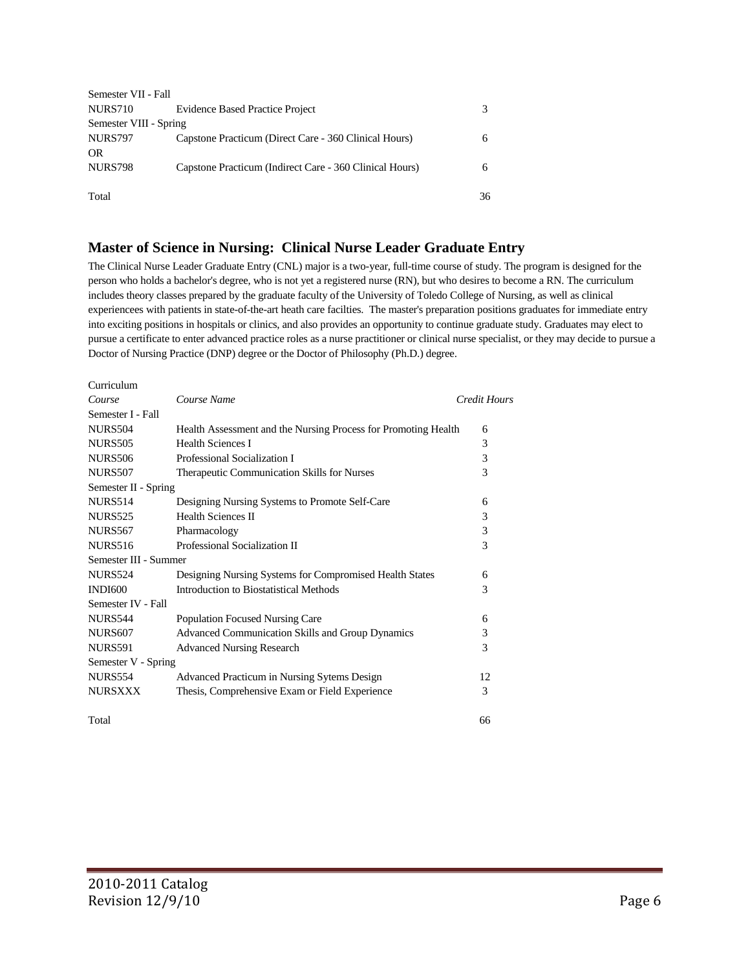| Semester VII - Fall    |                                                         |    |
|------------------------|---------------------------------------------------------|----|
| NURS710                | <b>Evidence Based Practice Project</b>                  | 3  |
| Semester VIII - Spring |                                                         |    |
| <b>NURS797</b>         | Capstone Practicum (Direct Care - 360 Clinical Hours)   | 6  |
| <b>OR</b>              |                                                         |    |
| <b>NURS798</b>         | Capstone Practicum (Indirect Care - 360 Clinical Hours) | 6  |
|                        |                                                         |    |
| Total                  |                                                         | 36 |

#### **Master of Science in Nursing: Clinical Nurse Leader Graduate Entry**

The Clinical Nurse Leader Graduate Entry (CNL) major is a two-year, full-time course of study. The program is designed for the person who holds a bachelor's degree, who is not yet a registered nurse (RN), but who desires to become a RN. The curriculum includes theory classes prepared by the graduate faculty of the University of Toledo College of Nursing, as well as clinical experiencees with patients in state-of-the-art heath care facilties. The master's preparation positions graduates for immediate entry into exciting positions in hospitals or clinics, and also provides an opportunity to continue graduate study. Graduates may elect to pursue a certificate to enter advanced practice roles as a nurse practitioner or clinical nurse specialist, or they may decide to pursue a Doctor of Nursing Practice (DNP) degree or the Doctor of Philosophy (Ph.D.) degree.

| Curriculum            |                                                                |                     |
|-----------------------|----------------------------------------------------------------|---------------------|
| Course                | Course Name                                                    | <b>Credit Hours</b> |
| Semester I - Fall     |                                                                |                     |
| <b>NURS504</b>        | Health Assessment and the Nursing Process for Promoting Health | 6                   |
| <b>NURS505</b>        | <b>Health Sciences I</b>                                       | 3                   |
| <b>NURS506</b>        | Professional Socialization I                                   | 3                   |
| <b>NURS507</b>        | Therapeutic Communication Skills for Nurses                    | 3                   |
| Semester II - Spring  |                                                                |                     |
| <b>NURS514</b>        | Designing Nursing Systems to Promote Self-Care                 | 6                   |
| <b>NURS525</b>        | <b>Health Sciences II</b>                                      | 3                   |
| <b>NURS567</b>        | Pharmacology                                                   | 3                   |
| <b>NURS516</b>        | Professional Socialization II                                  | 3                   |
| Semester III - Summer |                                                                |                     |
| <b>NURS524</b>        | Designing Nursing Systems for Compromised Health States        | 6                   |
| <b>INDI600</b>        | Introduction to Biostatistical Methods                         | 3                   |
| Semester IV - Fall    |                                                                |                     |
| <b>NURS544</b>        | Population Focused Nursing Care                                | 6                   |
| <b>NURS607</b>        | Advanced Communication Skills and Group Dynamics               | 3                   |
| <b>NURS591</b>        | <b>Advanced Nursing Research</b>                               | 3                   |
| Semester V - Spring   |                                                                |                     |
| <b>NURS554</b>        | Advanced Practicum in Nursing Sytems Design                    | 12                  |
| <b>NURSXXX</b>        | Thesis, Comprehensive Exam or Field Experience                 | 3                   |
| Total                 |                                                                | 66                  |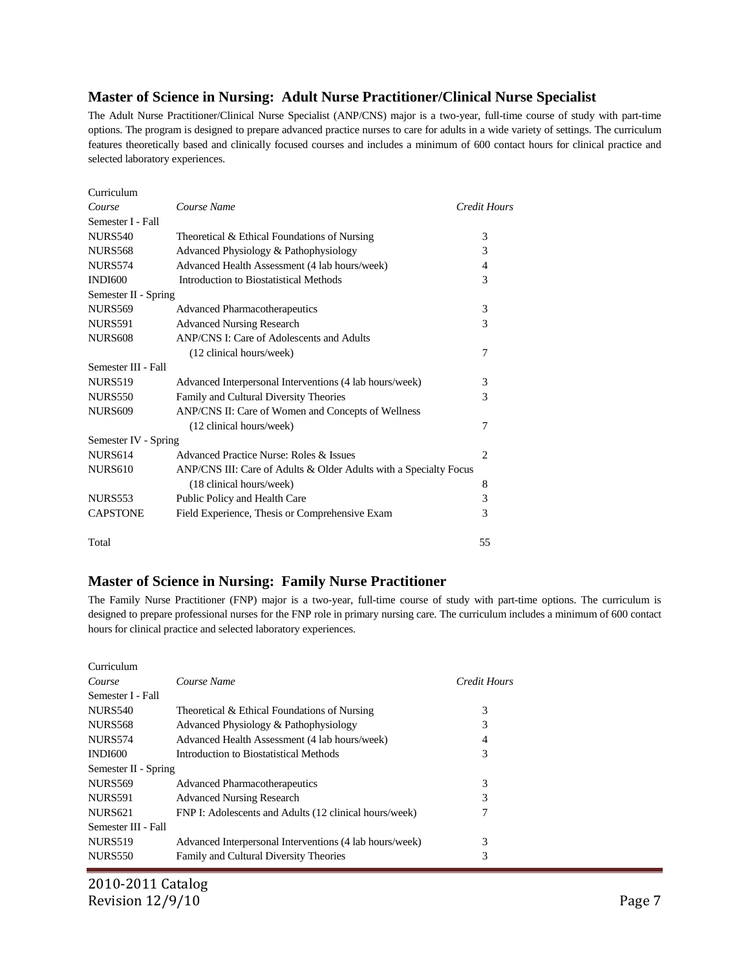#### **Master of Science in Nursing: Adult Nurse Practitioner/Clinical Nurse Specialist**

The Adult Nurse Practitioner/Clinical Nurse Specialist (ANP/CNS) major is a two-year, full-time course of study with part-time options. The program is designed to prepare advanced practice nurses to care for adults in a wide variety of settings. The curriculum features theoretically based and clinically focused courses and includes a minimum of 600 contact hours for clinical practice and selected laboratory experiences.

| Curriculum           |                                                                   |                |
|----------------------|-------------------------------------------------------------------|----------------|
| Course               | Course Name                                                       | Credit Hours   |
| Semester I - Fall    |                                                                   |                |
| <b>NURS540</b>       | Theoretical & Ethical Foundations of Nursing                      | 3              |
| <b>NURS568</b>       | Advanced Physiology & Pathophysiology                             | 3              |
| <b>NURS574</b>       | Advanced Health Assessment (4 lab hours/week)                     | 4              |
| <b>INDI600</b>       | Introduction to Biostatistical Methods                            | 3              |
| Semester II - Spring |                                                                   |                |
| <b>NURS569</b>       | Advanced Pharmacotherapeutics                                     | 3              |
| <b>NURS591</b>       | <b>Advanced Nursing Research</b>                                  | 3              |
| <b>NURS608</b>       | ANP/CNS I: Care of Adolescents and Adults                         |                |
|                      | (12 clinical hours/week)                                          | 7              |
| Semester III - Fall  |                                                                   |                |
| <b>NURS519</b>       | Advanced Interpersonal Interventions (4 lab hours/week)           | 3              |
| <b>NURS550</b>       | Family and Cultural Diversity Theories                            | 3              |
| <b>NURS609</b>       | ANP/CNS II: Care of Women and Concepts of Wellness                |                |
|                      | (12 clinical hours/week)                                          | 7              |
| Semester IV - Spring |                                                                   |                |
| <b>NURS614</b>       | Advanced Practice Nurse: Roles & Issues                           | $\overline{c}$ |
| <b>NURS610</b>       | ANP/CNS III: Care of Adults & Older Adults with a Specialty Focus |                |
|                      | (18 clinical hours/week)                                          | 8              |
| <b>NURS553</b>       | Public Policy and Health Care                                     | 3              |
| <b>CAPSTONE</b>      | Field Experience, Thesis or Comprehensive Exam                    | 3              |
| Total                |                                                                   | 55             |

#### **Master of Science in Nursing: Family Nurse Practitioner**

The Family Nurse Practitioner (FNP) major is a two-year, full-time course of study with part-time options. The curriculum is designed to prepare professional nurses for the FNP role in primary nursing care. The curriculum includes a minimum of 600 contact hours for clinical practice and selected laboratory experiences.

| Curriculum           |                                                         |              |
|----------------------|---------------------------------------------------------|--------------|
| Course               | Course Name                                             | Credit Hours |
| Semester I - Fall    |                                                         |              |
| <b>NURS540</b>       | Theoretical & Ethical Foundations of Nursing            | 3            |
| <b>NURS568</b>       | Advanced Physiology & Pathophysiology                   | 3            |
| <b>NURS574</b>       | Advanced Health Assessment (4 lab hours/week)           | 4            |
| <b>INDI600</b>       | Introduction to Biostatistical Methods                  | 3            |
| Semester II - Spring |                                                         |              |
| <b>NURS569</b>       | <b>Advanced Pharmacotherapeutics</b>                    | 3            |
| <b>NURS591</b>       | <b>Advanced Nursing Research</b>                        | 3            |
| <b>NURS621</b>       | FNP I: Adolescents and Adults (12 clinical hours/week)  | 7            |
| Semester III - Fall  |                                                         |              |
| <b>NURS519</b>       | Advanced Interpersonal Interventions (4 lab hours/week) | 3            |
| <b>NURS550</b>       | Family and Cultural Diversity Theories                  | 3            |
|                      |                                                         |              |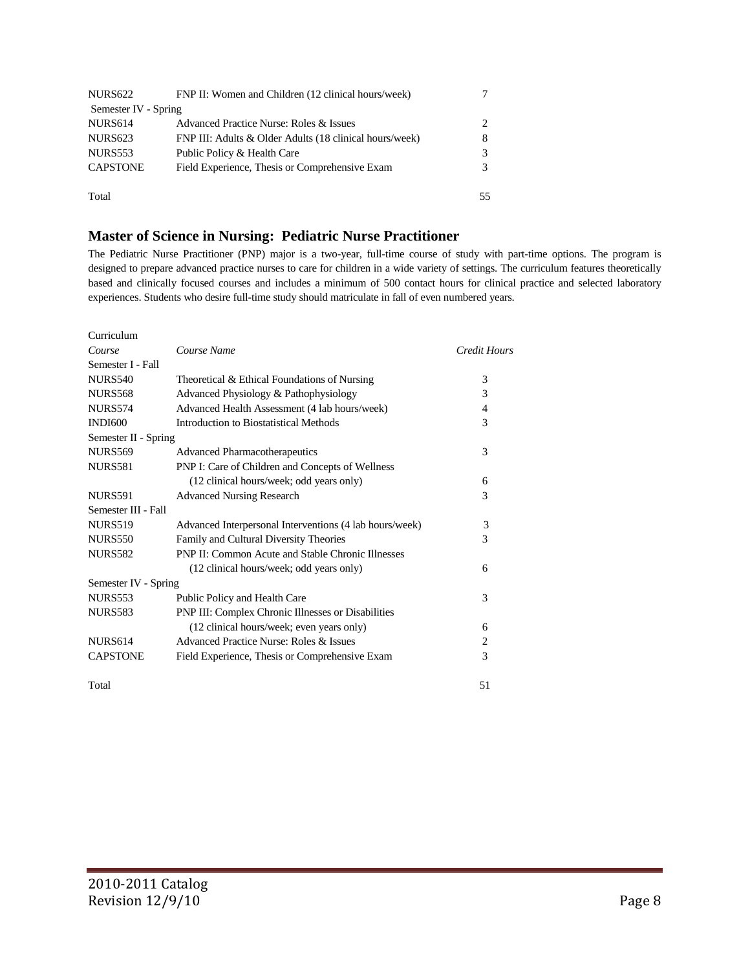| NURS <sub>622</sub>  | FNP II: Women and Children (12 clinical hours/week)     |    |
|----------------------|---------------------------------------------------------|----|
| Semester IV - Spring |                                                         |    |
| <b>NURS614</b>       | Advanced Practice Nurse: Roles & Issues                 | 2  |
| <b>NURS623</b>       | FNP III: Adults & Older Adults (18 clinical hours/week) | 8  |
| NURS553              | Public Policy & Health Care                             | 3  |
| <b>CAPSTONE</b>      | Field Experience, Thesis or Comprehensive Exam          |    |
| Total                |                                                         | 55 |

#### **Master of Science in Nursing: Pediatric Nurse Practitioner**

The Pediatric Nurse Practitioner (PNP) major is a two-year, full-time course of study with part-time options. The program is designed to prepare advanced practice nurses to care for children in a wide variety of settings. The curriculum features theoretically based and clinically focused courses and includes a minimum of 500 contact hours for clinical practice and selected laboratory experiences. Students who desire full-time study should matriculate in fall of even numbered years.

| Curriculum           |                                                          |              |
|----------------------|----------------------------------------------------------|--------------|
| Course               | Course Name                                              | Credit Hours |
| Semester I - Fall    |                                                          |              |
| <b>NURS540</b>       | Theoretical & Ethical Foundations of Nursing             | 3            |
| <b>NURS568</b>       | Advanced Physiology & Pathophysiology                    | 3            |
| <b>NURS574</b>       | Advanced Health Assessment (4 lab hours/week)            | 4            |
| <b>INDI600</b>       | Introduction to Biostatistical Methods                   | 3            |
| Semester II - Spring |                                                          |              |
| <b>NURS569</b>       | <b>Advanced Pharmacotherapeutics</b>                     | 3            |
| <b>NURS581</b>       | PNP I: Care of Children and Concepts of Wellness         |              |
|                      | (12 clinical hours/week; odd years only)                 | 6            |
| <b>NURS591</b>       | <b>Advanced Nursing Research</b>                         | 3            |
| Semester III - Fall  |                                                          |              |
| <b>NURS519</b>       | Advanced Interpersonal Interventions (4 lab hours/week)  | 3            |
| <b>NURS550</b>       | Family and Cultural Diversity Theories                   | 3            |
| <b>NURS582</b>       | <b>PNP II: Common Acute and Stable Chronic Illnesses</b> |              |
|                      | (12 clinical hours/week; odd years only)                 | 6            |
| Semester IV - Spring |                                                          |              |
| <b>NURS553</b>       | Public Policy and Health Care                            | 3            |
| <b>NURS583</b>       | PNP III: Complex Chronic Illnesses or Disabilities       |              |
|                      | (12 clinical hours/week; even years only)                | 6            |
| <b>NURS614</b>       | Advanced Practice Nurse: Roles & Issues                  | 2            |
| <b>CAPSTONE</b>      | Field Experience, Thesis or Comprehensive Exam           | 3            |
| Total                |                                                          | 51           |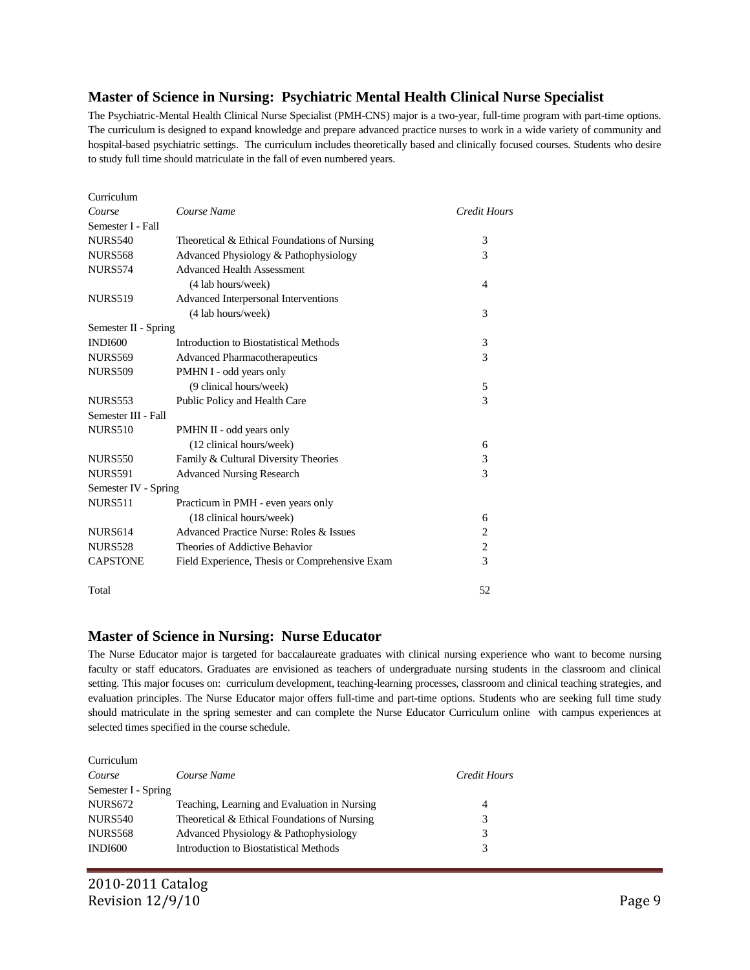#### **Master of Science in Nursing: Psychiatric Mental Health Clinical Nurse Specialist**

The Psychiatric-Mental Health Clinical Nurse Specialist (PMH-CNS) major is a two-year, full-time program with part-time options. The curriculum is designed to expand knowledge and prepare advanced practice nurses to work in a wide variety of community and hospital-based psychiatric settings. The curriculum includes theoretically based and clinically focused courses. Students who desire to study full time should matriculate in the fall of even numbered years.

| Curriculum           |                                                |                |
|----------------------|------------------------------------------------|----------------|
| Course               | Course Name                                    | Credit Hours   |
| Semester I - Fall    |                                                |                |
| <b>NURS540</b>       | Theoretical & Ethical Foundations of Nursing   | 3              |
| <b>NURS568</b>       | Advanced Physiology & Pathophysiology          | 3              |
| <b>NURS574</b>       | <b>Advanced Health Assessment</b>              |                |
|                      | (4 lab hours/week)                             | 4              |
| <b>NURS519</b>       | Advanced Interpersonal Interventions           |                |
|                      | (4 lab hours/week)                             | 3              |
| Semester II - Spring |                                                |                |
| <b>INDI600</b>       | Introduction to Biostatistical Methods         | 3              |
| <b>NURS569</b>       | Advanced Pharmacotherapeutics                  | 3              |
| <b>NURS509</b>       | PMHN I - odd years only                        |                |
|                      | (9 clinical hours/week)                        | 5              |
| <b>NURS553</b>       | Public Policy and Health Care                  | 3              |
| Semester III - Fall  |                                                |                |
| <b>NURS510</b>       | PMHN II - odd years only                       |                |
|                      | (12 clinical hours/week)                       | 6              |
| <b>NURS550</b>       | Family & Cultural Diversity Theories           | 3              |
| <b>NURS591</b>       | <b>Advanced Nursing Research</b>               | 3              |
| Semester IV - Spring |                                                |                |
| <b>NURS511</b>       | Practicum in PMH - even years only             |                |
|                      | (18 clinical hours/week)                       | 6              |
| <b>NURS614</b>       | Advanced Practice Nurse: Roles & Issues        | $\overline{2}$ |
| <b>NURS528</b>       | Theories of Addictive Behavior                 | $\overline{c}$ |
| <b>CAPSTONE</b>      | Field Experience, Thesis or Comprehensive Exam | 3              |
| Total                |                                                | 52             |

#### **Master of Science in Nursing: Nurse Educator**

The Nurse Educator major is targeted for baccalaureate graduates with clinical nursing experience who want to become nursing faculty or staff educators. Graduates are envisioned as teachers of undergraduate nursing students in the classroom and clinical setting. This major focuses on: curriculum development, teaching-learning processes, classroom and clinical teaching strategies, and evaluation principles. The Nurse Educator major offers full-time and part-time options. Students who are seeking full time study should matriculate in the spring semester and can complete the Nurse Educator Curriculum online with campus experiences at selected times specified in the course schedule.

| Curriculum          |                                              |              |
|---------------------|----------------------------------------------|--------------|
| Course              | Course Name                                  | Credit Hours |
| Semester I - Spring |                                              |              |
| NURS <sub>672</sub> | Teaching, Learning and Evaluation in Nursing | 4            |
| <b>NURS540</b>      | Theoretical & Ethical Foundations of Nursing | 3            |
| <b>NURS568</b>      | Advanced Physiology & Pathophysiology        | 3            |
| INDI600             | Introduction to Biostatistical Methods       | 3            |
|                     |                                              |              |

Curriculum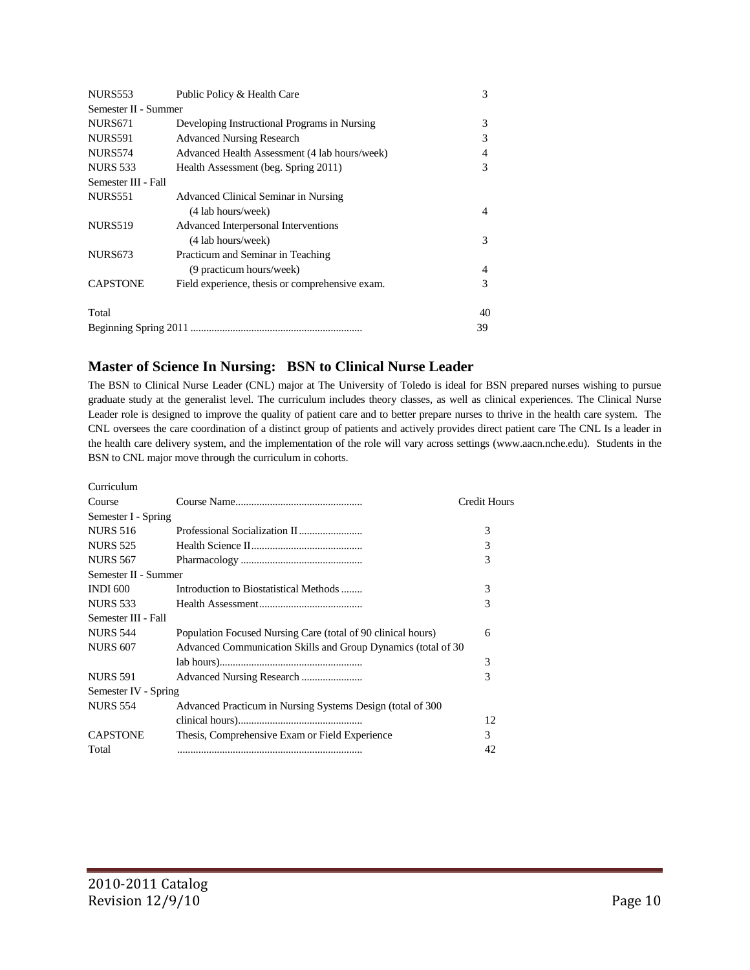| NURS553              | Public Policy & Health Care                     | 3  |
|----------------------|-------------------------------------------------|----|
| Semester II - Summer |                                                 |    |
| NURS <sub>671</sub>  | Developing Instructional Programs in Nursing    | 3  |
| <b>NURS591</b>       | <b>Advanced Nursing Research</b>                | 3  |
| <b>NURS574</b>       | Advanced Health Assessment (4 lab hours/week)   | 4  |
| <b>NURS 533</b>      | Health Assessment (beg. Spring 2011)            | 3  |
| Semester III - Fall  |                                                 |    |
| <b>NURS551</b>       | Advanced Clinical Seminar in Nursing            |    |
|                      | (4 lab hours/week)                              | 4  |
| <b>NURS519</b>       | Advanced Interpersonal Interventions            |    |
|                      | (4 lab hours/week)                              | 3  |
| <b>NURS673</b>       | Practicum and Seminar in Teaching               |    |
|                      | (9 practicum hours/week)                        | 4  |
| <b>CAPSTONE</b>      | Field experience, thesis or comprehensive exam. | 3  |
| Total                |                                                 | 40 |
|                      |                                                 | 39 |

## **Master of Science In Nursing: BSN to Clinical Nurse Leader**

The BSN to Clinical Nurse Leader (CNL) major at The University of Toledo is ideal for BSN prepared nurses wishing to pursue graduate study at the generalist level. The curriculum includes theory classes, as well as clinical experiences. The Clinical Nurse Leader role is designed to improve the quality of patient care and to better prepare nurses to thrive in the health care system. The CNL oversees the care coordination of a distinct group of patients and actively provides direct patient care The CNL Is a leader in the health care delivery system, and the implementation of the role will vary across settings (www.aacn.nche.edu). Students in the BSN to CNL major move through the curriculum in cohorts.

| Curriculum           |                                                               |                     |
|----------------------|---------------------------------------------------------------|---------------------|
| Course               |                                                               | <b>Credit Hours</b> |
| Semester I - Spring  |                                                               |                     |
| <b>NURS 516</b>      |                                                               | 3                   |
| <b>NURS 525</b>      |                                                               | 3                   |
| <b>NURS 567</b>      |                                                               | 3                   |
| Semester II - Summer |                                                               |                     |
| <b>INDI 600</b>      | Introduction to Biostatistical Methods                        | 3                   |
| <b>NURS 533</b>      |                                                               | 3                   |
| Semester III - Fall  |                                                               |                     |
| <b>NURS 544</b>      | Population Focused Nursing Care (total of 90 clinical hours)  | 6                   |
| <b>NURS 607</b>      | Advanced Communication Skills and Group Dynamics (total of 30 |                     |
|                      |                                                               | 3                   |
| <b>NURS 591</b>      |                                                               | 3                   |
| Semester IV - Spring |                                                               |                     |
| <b>NURS 554</b>      | Advanced Practicum in Nursing Systems Design (total of 300)   |                     |
|                      |                                                               | 12                  |
| <b>CAPSTONE</b>      | Thesis, Comprehensive Exam or Field Experience                | 3                   |
| Total                |                                                               | 42                  |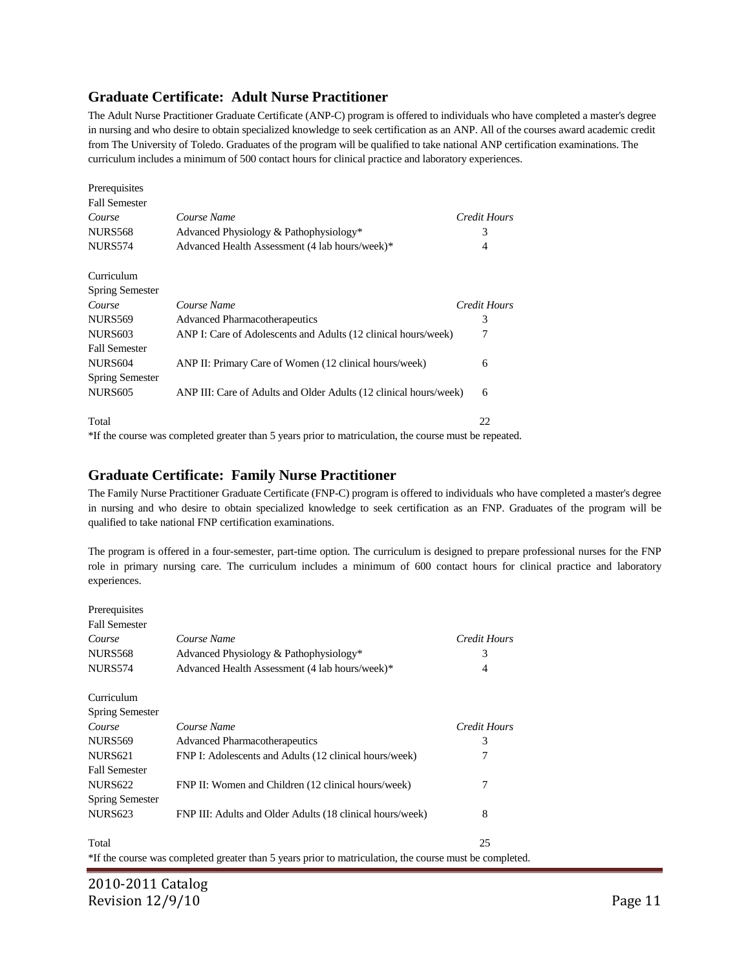#### **Graduate Certificate: Adult Nurse Practitioner**

The Adult Nurse Practitioner Graduate Certificate (ANP-C) program is offered to individuals who have completed a master's degree in nursing and who desire to obtain specialized knowledge to seek certification as an ANP. All of the courses award academic credit from The University of Toledo. Graduates of the program will be qualified to take national ANP certification examinations. The curriculum includes a minimum of 500 contact hours for clinical practice and laboratory experiences.

| Prerequisites          |                                                                                                        |              |
|------------------------|--------------------------------------------------------------------------------------------------------|--------------|
| <b>Fall Semester</b>   |                                                                                                        |              |
| Course                 | Course Name                                                                                            | Credit Hours |
| <b>NURS568</b>         | Advanced Physiology & Pathophysiology*                                                                 | 3            |
| <b>NURS574</b>         | Advanced Health Assessment (4 lab hours/week)*                                                         | 4            |
| Curriculum             |                                                                                                        |              |
| <b>Spring Semester</b> |                                                                                                        |              |
| Course                 | Course Name                                                                                            | Credit Hours |
| <b>NURS569</b>         | <b>Advanced Pharmacotherapeutics</b>                                                                   | 3            |
| <b>NURS603</b>         | ANP I: Care of Adolescents and Adults (12 clinical hours/week)                                         | 7            |
| <b>Fall Semester</b>   |                                                                                                        |              |
| <b>NURS604</b>         | ANP II: Primary Care of Women (12 clinical hours/week)                                                 | 6            |
| <b>Spring Semester</b> |                                                                                                        |              |
| <b>NURS605</b>         | ANP III: Care of Adults and Older Adults (12 clinical hours/week)                                      | 6            |
| Total                  |                                                                                                        | 22           |
|                        | *If the course was completed greater than 5 years prior to matriculation, the course must be repeated. |              |

#### **Graduate Certificate: Family Nurse Practitioner**

The Family Nurse Practitioner Graduate Certificate (FNP-C) program is offered to individuals who have completed a master's degree in nursing and who desire to obtain specialized knowledge to seek certification as an FNP. Graduates of the program will be qualified to take national FNP certification examinations.

The program is offered in a four-semester, part-time option. The curriculum is designed to prepare professional nurses for the FNP role in primary nursing care. The curriculum includes a minimum of 600 contact hours for clinical practice and laboratory experiences.

Prerequisites

| $1.0100$ maps $0.000$  |                                                                                                         |              |
|------------------------|---------------------------------------------------------------------------------------------------------|--------------|
| <b>Fall Semester</b>   |                                                                                                         |              |
| Course                 | Course Name                                                                                             | Credit Hours |
| <b>NURS568</b>         | Advanced Physiology & Pathophysiology*                                                                  | 3            |
| <b>NURS574</b>         | Advanced Health Assessment (4 lab hours/week)*                                                          | 4            |
| Curriculum             |                                                                                                         |              |
| Spring Semester        |                                                                                                         |              |
| Course                 | Course Name                                                                                             | Credit Hours |
| <b>NURS569</b>         | <b>Advanced Pharmacotherapeutics</b>                                                                    | 3            |
| NURS <sub>621</sub>    | FNP I: Adolescents and Adults (12 clinical hours/week)                                                  | 7            |
| <b>Fall Semester</b>   |                                                                                                         |              |
| <b>NURS622</b>         | FNP II: Women and Children (12 clinical hours/week)                                                     | 7            |
| <b>Spring Semester</b> |                                                                                                         |              |
| <b>NURS623</b>         | FNP III: Adults and Older Adults (18 clinical hours/week)                                               | 8            |
| Total                  |                                                                                                         | 25           |
|                        | *If the course was completed greater than 5 years prior to matriculation, the course must be completed. |              |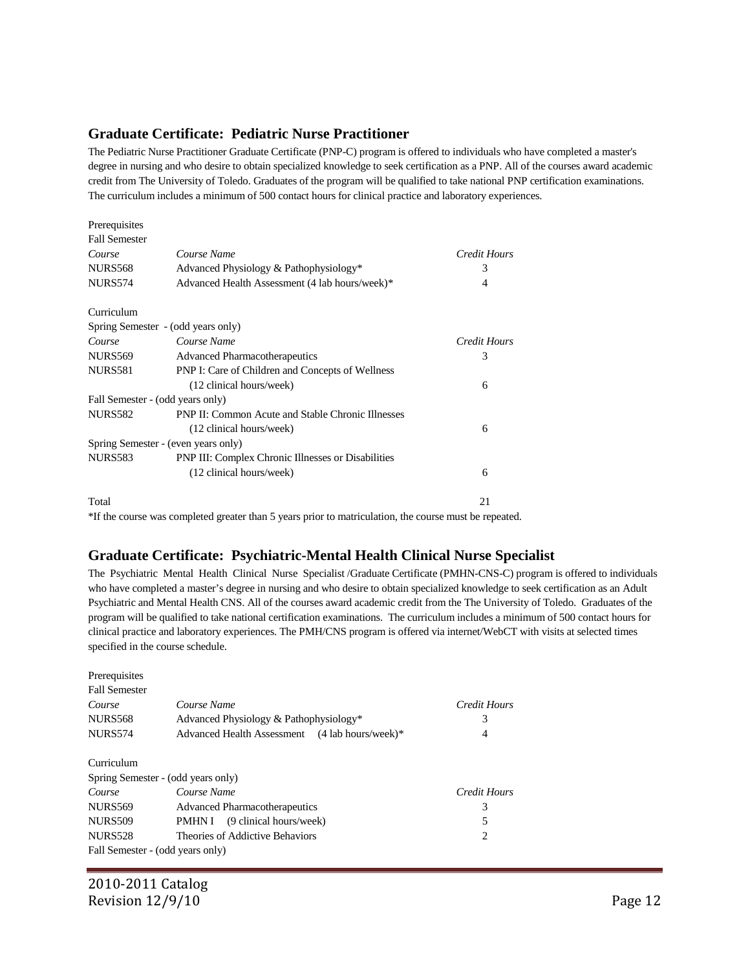#### **Graduate Certificate: Pediatric Nurse Practitioner**

The Pediatric Nurse Practitioner Graduate Certificate (PNP-C) program is offered to individuals who have completed a master's degree in nursing and who desire to obtain specialized knowledge to seek certification as a PNP. All of the courses award academic credit from The University of Toledo. Graduates of the program will be qualified to take national PNP certification examinations. The curriculum includes a minimum of 500 contact hours for clinical practice and laboratory experiences.

| Prerequisites        |                                                          |              |
|----------------------|----------------------------------------------------------|--------------|
| <b>Fall Semester</b> |                                                          |              |
| Course               | Course Name                                              | Credit Hours |
| <b>NURS568</b>       | Advanced Physiology & Pathophysiology*                   | 3            |
| <b>NURS574</b>       | Advanced Health Assessment (4 lab hours/week)*           | 4            |
| Curriculum           |                                                          |              |
|                      | Spring Semester - (odd years only)                       |              |
| Course               | Course Name                                              | Credit Hours |
| NURS569              | <b>Advanced Pharmacotherapeutics</b>                     | 3            |
| <b>NURS581</b>       | PNP I: Care of Children and Concepts of Wellness         |              |
|                      | (12 clinical hours/week)                                 | 6            |
|                      | Fall Semester - (odd years only)                         |              |
| <b>NURS582</b>       | <b>PNP II: Common Acute and Stable Chronic Illnesses</b> |              |
|                      | (12 clinical hours/week)                                 | 6            |
|                      | Spring Semester - (even years only)                      |              |
| NURS583              | PNP III: Complex Chronic Illnesses or Disabilities       |              |
|                      | (12 clinical hours/week)                                 | 6            |
| Total                |                                                          | 21           |

\*If the course was completed greater than 5 years prior to matriculation, the course must be repeated.

### **Graduate Certificate: Psychiatric-Mental Health Clinical Nurse Specialist**

The Psychiatric Mental Health Clinical Nurse Specialist /Graduate Certificate (PMHN-CNS-C) program is offered to individuals who have completed a master's degree in nursing and who desire to obtain specialized knowledge to seek certification as an Adult Psychiatric and Mental Health CNS. All of the courses award academic credit from the The University of Toledo. Graduates of the program will be qualified to take national certification examinations. The curriculum includes a minimum of 500 contact hours for clinical practice and laboratory experiences. The PMH/CNS program is offered via internet/WebCT with visits at selected times specified in the course schedule.

| Prerequisites                      |                                                |              |  |
|------------------------------------|------------------------------------------------|--------------|--|
| <b>Fall Semester</b>               |                                                |              |  |
| Course                             | Course Name                                    | Credit Hours |  |
| <b>NURS568</b>                     | Advanced Physiology & Pathophysiology*         | 3            |  |
| <b>NURS574</b>                     | Advanced Health Assessment (4 lab hours/week)* | 4            |  |
|                                    |                                                |              |  |
| Curriculum                         |                                                |              |  |
| Spring Semester - (odd years only) |                                                |              |  |
| Course                             | Course Name                                    | Credit Hours |  |
| <b>NURS569</b>                     | <b>Advanced Pharmacotherapeutics</b>           | 3            |  |
| <b>NURS509</b>                     | PMHN I (9 clinical hours/week)                 | 5            |  |
| <b>NURS528</b>                     | Theories of Addictive Behaviors                | 2            |  |
| Fall Semester - (odd years only)   |                                                |              |  |

2010-2011 Catalog Revision  $12/9/10$  Page 12